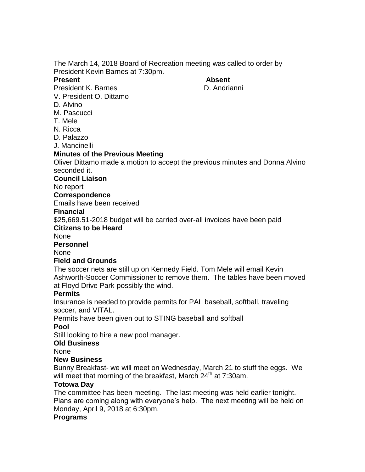The March 14, 2018 Board of Recreation meeting was called to order by President Kevin Barnes at 7:30pm.

#### **Present Absent**

President K. Barnes **D.** Andrianni V. President O. Dittamo

- D. Alvino
- M. Pascucci
- T. Mele
- N. Ricca
- D. Palazzo
- J. Mancinelli

# **Minutes of the Previous Meeting**

Oliver Dittamo made a motion to accept the previous minutes and Donna Alvino seconded it.

### **Council Liaison**

No report

#### **Correspondence**

Emails have been received

### **Financial**

\$25,669.51-2018 budget will be carried over-all invoices have been paid

### **Citizens to be Heard**

None

**Personnel**

#### None

# **Field and Grounds**

The soccer nets are still up on Kennedy Field. Tom Mele will email Kevin Ashworth-Soccer Commissioner to remove them. The tables have been moved at Floyd Drive Park-possibly the wind.

# **Permits**

Insurance is needed to provide permits for PAL baseball, softball, traveling soccer, and VITAL.

Permits have been given out to STING baseball and softball

# **Pool**

Still looking to hire a new pool manager.

#### **Old Business**

None

# **New Business**

Bunny Breakfast- we will meet on Wednesday, March 21 to stuff the eggs. We will meet that morning of the breakfast, March  $24<sup>th</sup>$  at 7:30am.

# **Totowa Day**

The committee has been meeting. The last meeting was held earlier tonight. Plans are coming along with everyone's help. The next meeting will be held on Monday, April 9, 2018 at 6:30pm.

#### **Programs**